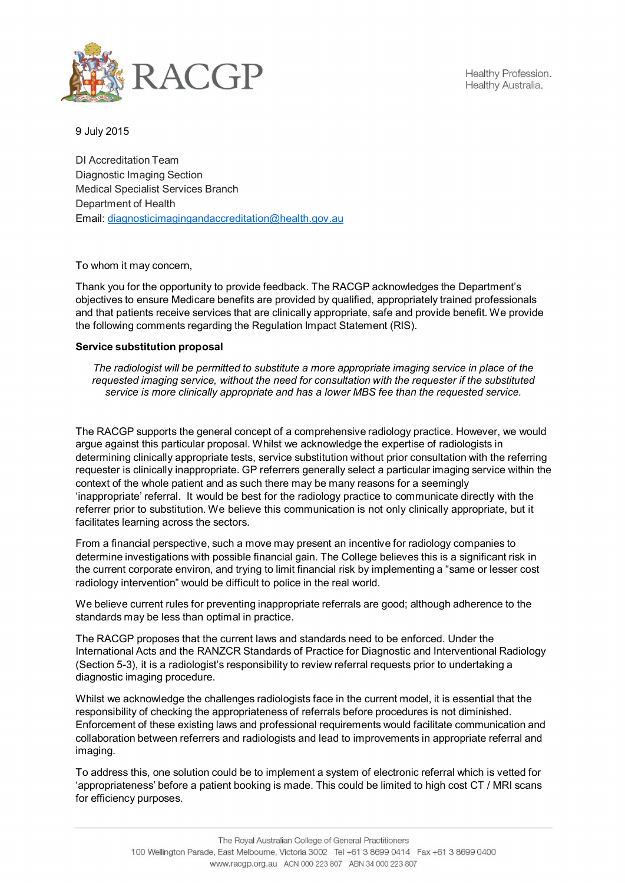

Healthy Profession. Healthy Australia.

9 July 2015

DI Accreditation Team Diagnostic Imaging Section Medical Specialist Services Branch Department of Health Email: diagnosticimagingandaccreditation@health.gov.au

To whom it may concern,

Thank you for the opportunity to provide feedback. The RACGP acknowledges the Department's objectives to ensure Medicare benefits are provided by qualified, appropriately trained professionals and that patients receive services that are clinically appropriate, safe and provide benefit. We provide the following comments regarding the Regulation Impact Statement (RIS).

## **Service substitution proposal**

*The radiologist will be permitted to substitute a more appropriate imaging service in place of the requested imaging service, without the need for consultation with the requester if the substituted service is more clinically appropriate and has a lower MBS fee than the requested service.*

The RACGP supports the general concept of a comprehensive radiology practice. However, we would argue against this particular proposal. Whilst we acknowledge the expertise of radiologists in determining clinically appropriate tests, service substitution without prior consultation with the referring requester is clinically inappropriate. GP referrers generally select a particular imaging service within the context of the whole patient and as such there may be many reasons for a seemingly 'inappropriate' referral. It would be best for the radiology practice to communicate directly with the referrer prior to substitution. We believe this communication is not only clinically appropriate, but it facilitates learning across the sectors.

From a financial perspective, such a move may present an incentive for radiology companies to determine investigations with possible financial gain. The College believes this is a significant risk in the current corporate environ, and trying to limit financial risk by implementing a "same or lesser cost radiology intervention" would be difficult to police in the real world.

We believe current rules for preventing inappropriate referrals are good; although adherence to the standards may be less than optimal in practice.

The RACGP proposes that the current laws and standards need to be enforced. Under the International Acts and the RANZCR Standards of Practice for Diagnostic and Interventional Radiology (Section 5-3), it is a radiologist's responsibility to review referral requests prior to undertaking a diagnostic imaging procedure.

Whilst we acknowledge the challenges radiologists face in the current model, it is essential that the responsibility of checking the appropriateness of referrals before procedures is not diminished. Enforcement of these existing laws and professional requirements would facilitate communication and collaboration between referrers and radiologists and lead to improvements in appropriate referral and imaging.

To address this, one solution could be to implement a system of electronic referral which is vetted for 'appropriateness' before a patient booking is made. This could be limited to high cost CT / MRI scans for efficiency purposes.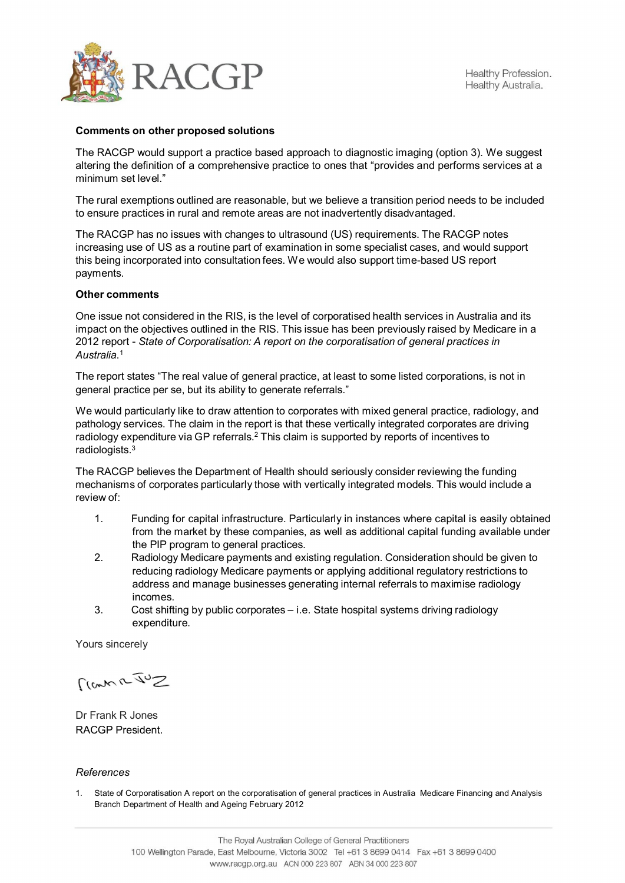

## **Comments on other proposed solutions**

The RACGP would support a practice based approach to diagnostic imaging (option 3). We suggest altering the definition of a comprehensive practice to ones that "provides and performs services at a minimum set level."

The rural exemptions outlined are reasonable, but we believe a transition period needs to be included to ensure practices in rural and remote areas are not inadvertently disadvantaged.

The RACGP has no issues with changes to ultrasound (US) requirements. The RACGP notes increasing use of US as a routine part of examination in some specialist cases, and would support this being incorporated into consultation fees. We would also support time-based US report payments.

## **Other comments**

One issue not considered in the RIS, is the level of corporatised health services in Australia and its impact on the objectives outlined in the RIS. This issue has been previously raised by Medicare in a 2012 report - *State of Corporatisation: A report on the corporatisation of general practices in Australia*.1

The report states "The real value of general practice, at least to some listed corporations, is not in general practice per se, but its ability to generate referrals."

We would particularly like to draw attention to corporates with mixed general practice, radiology, and pathology services. The claim in the report is that these vertically integrated corporates are driving radiology expenditure via GP referrals.<sup>2</sup> This claim is supported by reports of incentives to radiologists.3

The RACGP believes the Department of Health should seriously consider reviewing the funding mechanisms of corporates particularly those with vertically integrated models. This would include a review of:

- 1. Funding for capital infrastructure. Particularly in instances where capital is easily obtained from the market by these companies, as well as additional capital funding available under the PIP program to general practices.
- 2. Radiology Medicare payments and existing regulation. Consideration should be given to reducing radiology Medicare payments or applying additional regulatory restrictions to address and manage businesses generating internal referrals to maximise radiology incomes.
- 3. Cost shifting by public corporates i.e. State hospital systems driving radiology expenditure.

Yours sincerely

 $S^{u\overline{\mu}}$ 

Dr Frank R Jones RACGP President.

## *References*

1. State of Corporatisation A report on the corporatisation of general practices in Australia Medicare Financing and Analysis Branch Department of Health and Ageing February 2012